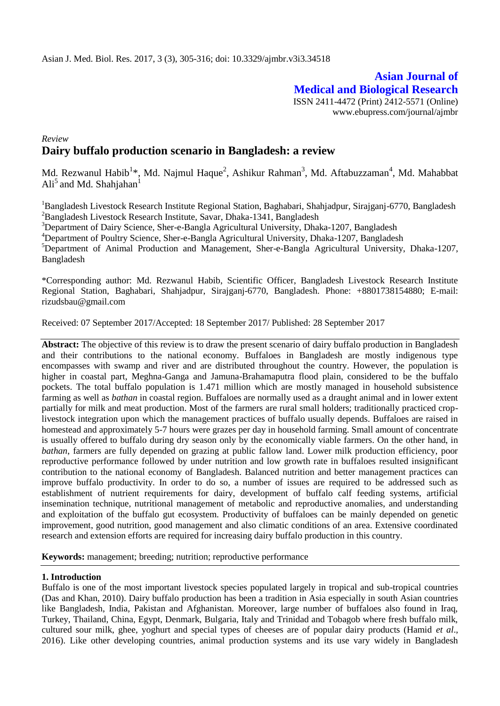# **Asian Journal of Medical and Biological Research** ISSN 2411-4472 (Print) 2412-5571 (Online) www.ebupress.com/journal/ajmbr

# *Review* **Dairy buffalo production scenario in Bangladesh: a review**

Md. Rezwanul Habib<sup>1\*</sup>, Md. Najmul Haque<sup>2</sup>, Ashikur Rahman<sup>3</sup>, Md. Aftabuzzaman<sup>4</sup>, Md. Mahabbat Ali<sup>5</sup> and Md. Shahjahan<sup>1</sup>

<sup>1</sup>Bangladesh Livestock Research Institute Regional Station, Baghabari, Shahjadpur, Sirajganj-6770, Bangladesh <sup>2</sup>Bangladesh Livestock Research Institute, Savar, Dhaka-1341, Bangladesh

<sup>3</sup>Department of Dairy Science, Sher-e-Bangla Agricultural University, Dhaka-1207, Bangladesh

<sup>4</sup>Department of Poultry Science, Sher-e-Bangla Agricultural University, Dhaka-1207, Bangladesh

<sup>5</sup>Department of Animal Production and Management, Sher-e-Bangla Agricultural University, Dhaka-1207, Bangladesh

\*Corresponding author: Md. Rezwanul Habib, Scientific Officer, Bangladesh Livestock Research Institute Regional Station, Baghabari, Shahjadpur, Sirajganj-6770, Bangladesh. Phone: +8801738154880; E-mail: [rizudsbau@gmail.com](mailto:rizudsbau@gmail.com)

Received: 07 September 2017/Accepted: 18 September 2017/ Published: 28 September 2017

**Abstract:** The objective of this review is to draw the present scenario of dairy buffalo production in Bangladesh and their contributions to the national economy. Buffaloes in Bangladesh are mostly indigenous type encompasses with swamp and river and are distributed throughout the country. However, the population is higher in coastal part, Meghna-Ganga and Jamuna-Brahamaputra flood plain, considered to be the buffalo pockets. The total buffalo population is 1.471 million which are mostly managed in household subsistence farming as well as *bathan* in coastal region. Buffaloes are normally used as a draught animal and in lower extent partially for milk and meat production. Most of the farmers are rural small holders; traditionally practiced croplivestock integration upon which the management practices of buffalo usually depends. Buffaloes are raised in homestead and approximately 5-7 hours were grazes per day in household farming. Small amount of concentrate is usually offered to buffalo during dry season only by the economically viable farmers. On the other hand, in *bathan*, farmers are fully depended on grazing at public fallow land. Lower milk production efficiency, poor reproductive performance followed by under nutrition and low growth rate in buffaloes resulted insignificant contribution to the national economy of Bangladesh. Balanced nutrition and better management practices can improve buffalo productivity. In order to do so, a number of issues are required to be addressed such as establishment of nutrient requirements for dairy, development of buffalo calf feeding systems, artificial insemination technique, nutritional management of metabolic and reproductive anomalies, and understanding and exploitation of the buffalo gut ecosystem. Productivity of buffaloes can be mainly depended on genetic improvement, good nutrition, good management and also climatic conditions of an area. Extensive coordinated research and extension efforts are required for increasing dairy buffalo production in this country.

**Keywords:** management; breeding; nutrition; reproductive performance

# **1. Introduction**

Buffalo is one of the most important livestock species populated largely in tropical and sub-tropical countries (Das and Khan, 2010). Dairy buffalo production has been a tradition in Asia especially in south Asian countries like Bangladesh, India, Pakistan and Afghanistan. Moreover, large number of buffaloes also found in Iraq, Turkey, Thailand, China, Egypt, Denmark, Bulgaria, Italy and Trinidad and Tobagob where fresh buffalo milk, cultured sour milk, ghee, yoghurt and special types of cheeses are of popular dairy products (Hamid *et al*., 2016). Like other developing countries, animal production systems and its use vary widely in Bangladesh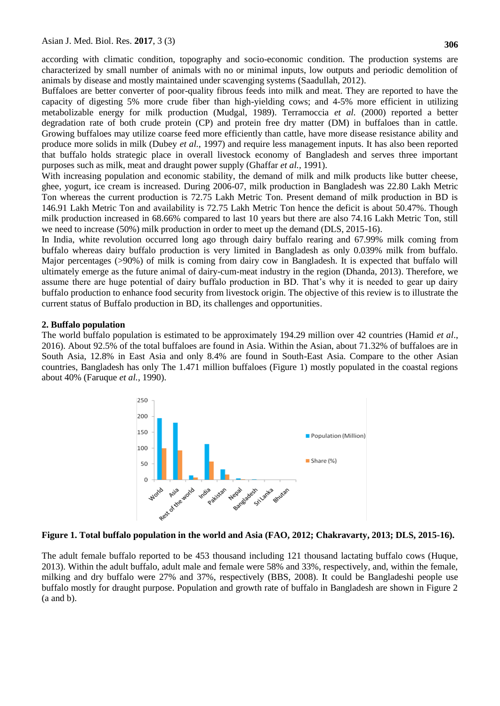according with climatic condition, topography and socio-economic condition. The production systems are characterized by small number of animals with no or minimal inputs, low outputs and periodic demolition of animals by disease and mostly maintained under scavenging systems (Saadullah, 2012).

Buffaloes are better converter of poor-quality fibrous feeds into milk and meat. They are reported to have the capacity of digesting 5% more crude fiber than high-yielding cows; and 4-5% more efficient in utilizing metabolizable energy for milk production (Mudgal, 1989). Terramoccia *et al.* (2000) reported a better degradation rate of both crude protein (CP) and protein free dry matter (DM) in buffaloes than in cattle. Growing buffaloes may utilize coarse feed more efficiently than cattle, have more disease resistance ability and produce more solids in milk (Dubey *et al.,* 1997) and require less management inputs. It has also been reported that buffalo holds strategic place in overall livestock economy of Bangladesh and serves three important purposes such as milk, meat and draught power supply (Ghaffar *et al.,* 1991).

With increasing population and economic stability, the demand of milk and milk products like butter cheese, ghee, yogurt, ice cream is increased. During 2006-07, milk production in Bangladesh was 22.80 Lakh Metric Ton whereas the current production is 72.75 Lakh Metric Ton. Present demand of milk production in BD is 146.91 Lakh Metric Ton and availability is 72.75 Lakh Metric Ton hence the deficit is about 50.47%. Though milk production increased in 68.66% compared to last 10 years but there are also 74.16 Lakh Metric Ton, still we need to increase (50%) milk production in order to meet up the demand (DLS, 2015-16).

In India, white revolution occurred long ago through dairy buffalo rearing and 67.99% milk coming from buffalo whereas dairy buffalo production is very limited in Bangladesh as only 0.039% milk from buffalo. Major percentages (>90%) of milk is coming from dairy cow in Bangladesh. It is expected that buffalo will ultimately emerge as the future animal of dairy-cum-meat industry in the region (Dhanda, 2013). Therefore, we assume there are huge potential of dairy buffalo production in BD. That"s why it is needed to gear up dairy buffalo production to enhance food security from livestock origin. The objective of this review is to illustrate the current status of Buffalo production in BD, its challenges and opportunities.

### **2. Buffalo population**

The world buffalo population is estimated to be approximately 194.29 million over 42 countries (Hamid *et al*., 2016). About 92.5% of the total buffaloes are found in Asia. Within the Asian, about 71.32% of buffaloes are in South Asia, 12.8% in East Asia and only 8.4% are found in South-East Asia. Compare to the other Asian countries, Bangladesh has only The 1.471 million buffaloes (Figure 1) mostly populated in the coastal regions about 40% (Faruque *et al.,* 1990).



# **Figure 1. Total buffalo population in the world and Asia (FAO, 2012; Chakravarty, 2013; DLS, 2015-16).**

The adult female buffalo reported to be 453 thousand including 121 thousand lactating buffalo cows (Huque, 2013). Within the adult buffalo, adult male and female were 58% and 33%, respectively, and, within the female, milking and dry buffalo were 27% and 37%, respectively (BBS, 2008). It could be Bangladeshi people use buffalo mostly for draught purpose. Population and growth rate of buffalo in Bangladesh are shown in Figure 2 (a and b).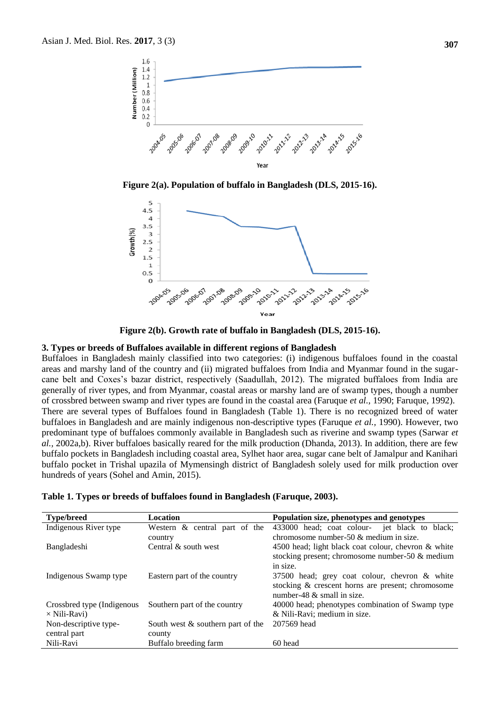

**Figure 2(a). Population of buffalo in Bangladesh (DLS, 2015-16).**



**Figure 2(b). Growth rate of buffalo in Bangladesh (DLS, 2015-16).**

#### **3. Types or breeds of Buffaloes available in different regions of Bangladesh**

Buffaloes in Bangladesh mainly classified into two categories: (i) indigenous buffaloes found in the coastal areas and marshy land of the country and (ii) migrated buffaloes from India and Myanmar found in the sugarcane belt and Coxes's bazar district, respectively (Saadullah, 2012). The migrated buffaloes from India are generally of river types, and from Myanmar, coastal areas or marshy land are of swamp types, though a number of crossbred between swamp and river types are found in the coastal area (Faruque *et al.,* 1990; Faruque, 1992). There are several types of Buffaloes found in Bangladesh (Table 1). There is no recognized breed of water buffaloes in Bangladesh and are mainly indigenous non-descriptive types (Faruque *et al.,* 1990). However, two predominant type of buffaloes commonly available in Bangladesh such as riverine and swamp types (Sarwar *et al.,* 2002a,b). River buffaloes basically reared for the milk production (Dhanda, 2013). In addition, there are few buffalo pockets in Bangladesh including coastal area, Sylhet haor area, sugar cane belt of Jamalpur and Kanihari buffalo pocket in Trishal upazila of Mymensingh district of Bangladesh solely used for milk production over hundreds of years (Sohel and Amin, 2015).

| <b>Type/breed</b>          | Location                             | Population size, phenotypes and genotypes           |
|----------------------------|--------------------------------------|-----------------------------------------------------|
| Indigenous River type      | Western & central part of the        | 433000 head; coat colour- jet black to black;       |
|                            | country                              | chromosome number-50 $\&$ medium in size.           |
| Bangladeshi                | Central $\&$ south west              | 4500 head; light black coat colour, chevron & white |
|                            |                                      | stocking present; chromosome number-50 $\&$ medium  |
|                            |                                      | in size.                                            |
| Indigenous Swamp type      | Eastern part of the country          | 37500 head; grey coat colour, chevron & white       |
|                            |                                      | stocking & crescent horns are present; chromosome   |
|                            |                                      | number-48 $&$ small in size.                        |
| Crossbred type (Indigenous | Southern part of the country         | 40000 head; phenotypes combination of Swamp type    |
| $\times$ Nili-Ravi)        |                                      | & Nili-Ravi; medium in size.                        |
| Non-descriptive type-      | South west $\&$ southern part of the | 207569 head                                         |
| central part               | county                               |                                                     |
| Nili-Ravi                  | Buffalo breeding farm                | 60 head                                             |

**Table 1. Types or breeds of buffaloes found in Bangladesh (Faruque, 2003).**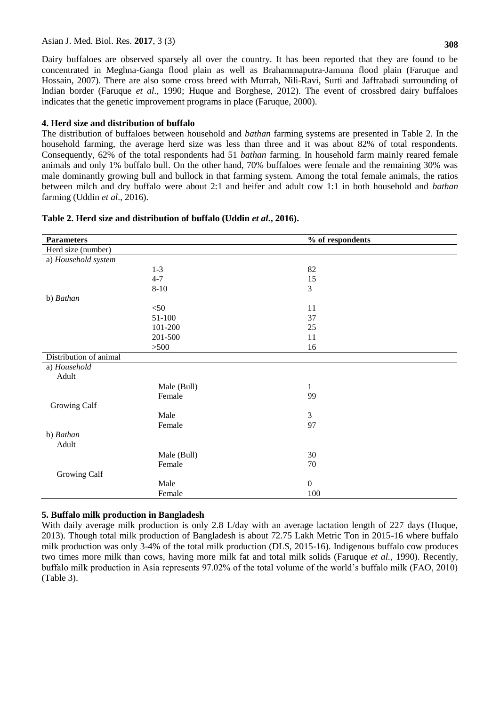### Asian J. Med. Biol. Res. **2017**, 3 (3)

Dairy buffaloes are observed sparsely all over the country. It has been reported that they are found to be concentrated in Meghna-Ganga flood plain as well as Brahammaputra-Jamuna flood plain (Faruque and Hossain, 2007). There are also some cross breed with Murrah, Nili-Ravi, Surti and Jaffrabadi surrounding of Indian border (Faruque *et al*., 1990; Huque and Borghese, 2012). The event of crossbred dairy buffaloes indicates that the genetic improvement programs in place (Faruque, 2000).

# **4. Herd size and distribution of buffalo**

The distribution of buffaloes between household and *bathan* farming systems are presented in Table 2. In the household farming, the average herd size was less than three and it was about 82% of total respondents. Consequently, 62% of the total respondents had 51 *bathan* farming. In household farm mainly reared female animals and only 1% buffalo bull. On the other hand, 70% buffaloes were female and the remaining 30% was male dominantly growing bull and bullock in that farming system. Among the total female animals, the ratios between milch and dry buffalo were about 2:1 and heifer and adult cow 1:1 in both household and *bathan* farming (Uddin *et al*., 2016).

| <b>Parameters</b>      |             | % of respondents |
|------------------------|-------------|------------------|
| Herd size (number)     |             |                  |
| a) Household system    |             |                  |
|                        | $1 - 3$     | 82               |
|                        | $4 - 7$     | 15               |
|                        | $8 - 10$    | 3                |
| b) Bathan              |             |                  |
|                        | $<$ 50      | 11               |
|                        | 51-100      | 37               |
|                        | 101-200     | 25               |
|                        | 201-500     | 11               |
|                        | >500        | 16               |
| Distribution of animal |             |                  |
| a) Household           |             |                  |
| Adult                  |             |                  |
|                        | Male (Bull) | $\mathbf{1}$     |
|                        | Female      | 99               |
| Growing Calf           |             |                  |
|                        | Male        | 3                |
|                        | Female      | 97               |
| b) Bathan              |             |                  |
| Adult                  |             |                  |
|                        | Male (Bull) | 30               |
|                        | Female      | 70               |
| Growing Calf           |             |                  |
|                        | Male        | $\boldsymbol{0}$ |
|                        | Female      | 100              |

# **Table 2. Herd size and distribution of buffalo (Uddin** *et al***., 2016).**

# **5. Buffalo milk production in Bangladesh**

With daily average milk production is only 2.8 L/day with an average lactation length of 227 days (Huque, 2013). Though total milk production of Bangladesh is about 72.75 Lakh Metric Ton in 2015-16 where buffalo milk production was only 3-4% of the total milk production (DLS, 2015-16). Indigenous buffalo cow produces two times more milk than cows, having more milk fat and total milk solids (Faruque *et al.,* 1990). Recently, buffalo milk production in Asia represents 97.02% of the total volume of the world"s buffalo milk (FAO, 2010) (Table 3).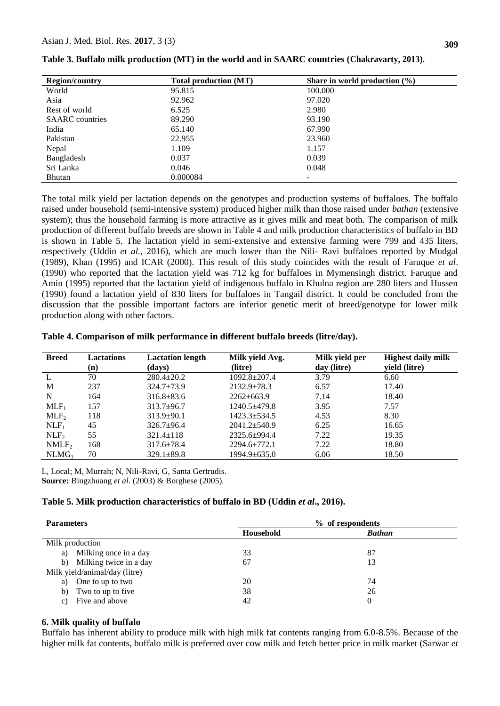| <b>Region/country</b>  | <b>Total production (MT)</b> | Share in world production $(\% )$ |
|------------------------|------------------------------|-----------------------------------|
| World                  | 95.815                       | 100.000                           |
| Asia                   | 92.962                       | 97.020                            |
| Rest of world          | 6.525                        | 2.980                             |
| <b>SAARC</b> countries | 89.290                       | 93.190                            |
| India                  | 65.140                       | 67.990                            |
| Pakistan               | 22.955                       | 23.960                            |
| Nepal                  | 1.109                        | 1.157                             |
| Bangladesh             | 0.037                        | 0.039                             |
| Sri Lanka              | 0.046                        | 0.048                             |
| <b>Bhutan</b>          | 0.000084                     |                                   |

| Table 3. Buffalo milk production (MT) in the world and in SAARC countries (Chakravarty, 2013). |  |  |  |  |
|------------------------------------------------------------------------------------------------|--|--|--|--|
|------------------------------------------------------------------------------------------------|--|--|--|--|

The total milk yield per lactation depends on the genotypes and production systems of buffaloes. The buffalo raised under household (semi-intensive system) produced higher milk than those raised under *bathan* (extensive system); thus the household farming is more attractive as it gives milk and meat both. The comparison of milk production of different buffalo breeds are shown in Table 4 and milk production characteristics of buffalo in BD is shown in Table 5. The lactation yield in semi-extensive and extensive farming were 799 and 435 liters, respectively (Uddin *et al.,* 2016), which are much lower than the Nili- Ravi buffaloes reported by Mudgal (1989), Khan (1995) and ICAR (2000). This result of this study coincides with the result of Faruque *et al*. (1990) who reported that the lactation yield was 712 kg for buffaloes in Mymensingh district. Faruque and Amin (1995) reported that the lactation yield of indigenous buffalo in Khulna region are 280 liters and Hussen (1990) found a lactation yield of 830 liters for buffaloes in Tangail district. It could be concluded from the discussion that the possible important factors are inferior genetic merit of breed/genotype for lower milk production along with other factors.

#### **Table 4. Comparison of milk performance in different buffalo breeds (litre/day).**

| <b>Breed</b>      | <b>Lactations</b><br>(n) | <b>Lactation length</b><br>(days) | Milk yield Avg.<br>(litre) | Milk yield per<br>day (litre) | <b>Highest daily milk</b><br>yield (litre) |
|-------------------|--------------------------|-----------------------------------|----------------------------|-------------------------------|--------------------------------------------|
| L                 | 70                       | $280.4 \pm 20.2$                  | $1092.8 \pm 207.4$         | 3.79                          | 6.60                                       |
| M                 | 237                      | $324.7 \pm 73.9$                  | $2132.9 \pm 78.3$          | 6.57                          | 17.40                                      |
| N                 | 164                      | $316.8 \pm 83.6$                  | $2262 \pm 663.9$           | 7.14                          | 18.40                                      |
| $MLF_1$           | 157                      | $313.7 \pm 96.7$                  | $1240.5 + 479.8$           | 3.95                          | 7.57                                       |
| MLF <sub>2</sub>  | 118                      | $313.9 \pm 90.1$                  | $1423.3 \pm 534.5$         | 4.53                          | 8.30                                       |
| NLF <sub>1</sub>  | 45                       | $326.7 \pm 96.4$                  | $2041.2 + 540.9$           | 6.25                          | 16.65                                      |
| NLF <sub>2</sub>  | 55                       | $321.4 \pm 118$                   | $2325.6 \pm 994.4$         | 7.22                          | 19.35                                      |
| NMLF <sub>2</sub> | 168                      | $317.6 \pm 78.4$                  | $2294.6 \pm 772.1$         | 7.22                          | 18.80                                      |
| NLMG <sub>1</sub> | 70                       | $329.1 \pm 89.8$                  | $1994.9 \pm 635.0$         | 6.06                          | 18.50                                      |

L, Local; M, Murrah; N, Nili-Ravi, G, Santa Gertrudis. **Source:** Bingzhuang *et al.* (2003) & Borghese (2005).

#### **Table 5. Milk production characteristics of buffalo in BD (Uddin** *et al***., 2016).**

| <b>Parameters</b>             | % of respondents |               |  |
|-------------------------------|------------------|---------------|--|
|                               | Household        | <b>Bathan</b> |  |
| Milk production               |                  |               |  |
| Milking once in a day<br>a)   | 33               | 87            |  |
| Milking twice in a day<br>b)  | 67               | 13            |  |
| Milk yield/animal/day (litre) |                  |               |  |
| One to up to two<br>a)        | 20               | 74            |  |
| Two to up to five<br>b)       | 38               | 26            |  |
| Five and above<br>C)          | 42               |               |  |

#### **6. Milk quality of buffalo**

Buffalo has inherent ability to produce milk with high milk fat contents ranging from 6.0-8.5%. Because of the higher milk fat contents, buffalo milk is preferred over cow milk and fetch better price in milk market (Sarwar *et*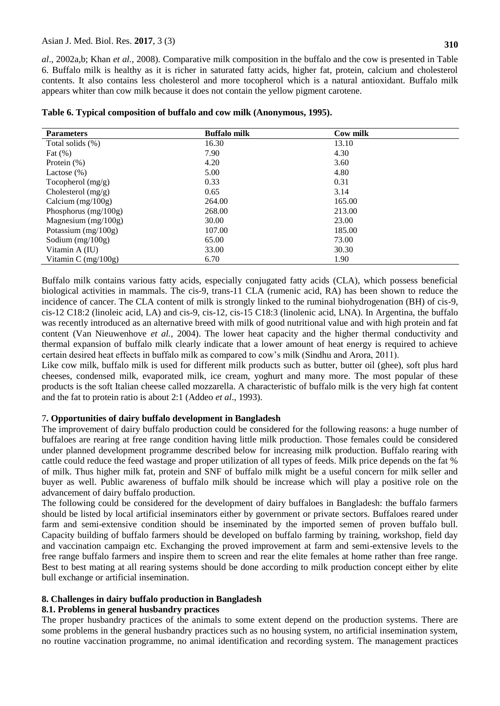### Asian J. Med. Biol. Res. **2017**, 3 (3)

*al*., 2002a,b; Khan *et al.,* 2008). Comparative milk composition in the buffalo and the cow is presented in Table 6. Buffalo milk is healthy as it is richer in saturated fatty acids, higher fat, protein, calcium and cholesterol contents. It also contains less cholesterol and more tocopherol which is a natural antioxidant. Buffalo milk appears whiter than cow milk because it does not contain the yellow pigment carotene.

| <b>Parameters</b>     | <b>Buffalo milk</b> | Cow milk |
|-----------------------|---------------------|----------|
| Total solids (%)      | 16.30               | 13.10    |
| Fat $(\%)$            | 7.90                | 4.30     |
| Protein $(\%)$        | 4.20                | 3.60     |
| Lactose $(\% )$       | 5.00                | 4.80     |
| Tocopherol $(mg/g)$   | 0.33                | 0.31     |
| Cholesterol $(mg/g)$  | 0.65                | 3.14     |
| Calcium $(mg/100g)$   | 264.00              | 165.00   |
| Phosphorus (mg/100g)  | 268.00              | 213.00   |
| Magnesium $(mg/100g)$ | 30.00               | 23.00    |
| Potassium $(mg/100g)$ | 107.00              | 185.00   |
| Sodium $(mg/100g)$    | 65.00               | 73.00    |
| Vitamin A (IU)        | 33.00               | 30.30    |
| Vitamin C $(mg/100g)$ | 6.70                | 1.90     |

#### **Table 6. Typical composition of buffalo and cow milk (Anonymous, 1995).**

Buffalo milk contains various fatty acids, especially conjugated fatty acids (CLA), which possess beneficial biological activities in mammals. The cis-9, trans-11 CLA (rumenic acid, RA) has been shown to reduce the incidence of cancer. The CLA content of milk is strongly linked to the ruminal biohydrogenation (BH) of cis-9, cis-12 C18:2 (linoleic acid, LA) and cis-9, cis-12, cis-15 C18:3 (linolenic acid, LNA). In Argentina, the buffalo was recently introduced as an alternative breed with milk of good nutritional value and with high protein and fat content (Van Nieuwenhove *et al.,* 2004). The lower heat capacity and the higher thermal conductivity and thermal expansion of buffalo milk clearly indicate that a lower amount of heat energy is required to achieve certain desired heat effects in buffalo milk as compared to cow"s milk (Sindhu and Arora, 2011).

Like cow milk, buffalo milk is used for different milk products such as butter, butter oil (ghee), soft plus hard cheeses, condensed milk, evaporated milk, ice cream, yoghurt and many more. The most popular of these products is the soft Italian cheese called mozzarella. A characteristic of buffalo milk is the very high fat content and the fat to protein ratio is about 2:1 (Addeo *et al*., 1993).

# 7**. Opportunities of dairy buffalo development in Bangladesh**

The improvement of dairy buffalo production could be considered for the following reasons: a huge number of buffaloes are rearing at free range condition having little milk production. Those females could be considered under planned development programme described below for increasing milk production. Buffalo rearing with cattle could reduce the feed wastage and proper utilization of all types of feeds. Milk price depends on the fat % of milk. Thus higher milk fat, protein and SNF of buffalo milk might be a useful concern for milk seller and buyer as well. Public awareness of buffalo milk should be increase which will play a positive role on the advancement of dairy buffalo production.

The following could be considered for the development of dairy buffaloes in Bangladesh: the buffalo farmers should be listed by local artificial inseminators either by government or private sectors. Buffaloes reared under farm and semi-extensive condition should be inseminated by the imported semen of proven buffalo bull. Capacity building of buffalo farmers should be developed on buffalo farming by training, workshop, field day and vaccination campaign etc. Exchanging the proved improvement at farm and semi-extensive levels to the free range buffalo farmers and inspire them to screen and rear the elite females at home rather than free range. Best to best mating at all rearing systems should be done according to milk production concept either by elite bull exchange or artificial insemination.

#### **8. Challenges in dairy buffalo production in Bangladesh**

# **8.1. Problems in general husbandry practices**

The proper husbandry practices of the animals to some extent depend on the production systems. There are some problems in the general husbandry practices such as no housing system, no artificial insemination system, no routine vaccination programme, no animal identification and recording system. The management practices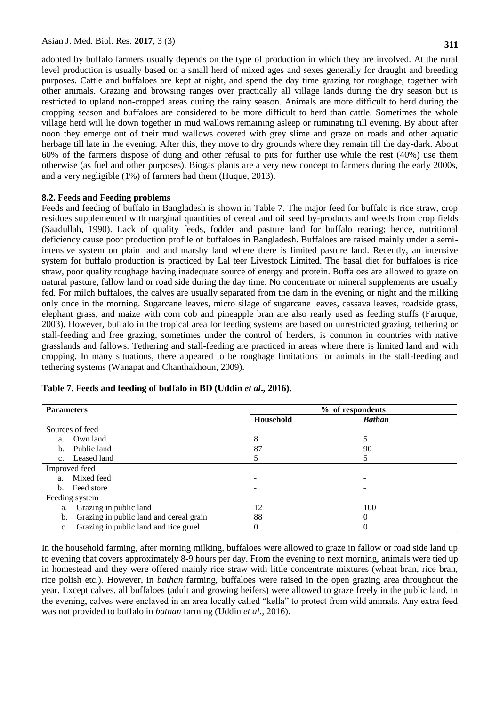adopted by buffalo farmers usually depends on the type of production in which they are involved. At the rural level production is usually based on a small herd of mixed ages and sexes generally for draught and breeding purposes. Cattle and buffaloes are kept at night, and spend the day time grazing for roughage, together with other animals. Grazing and browsing ranges over practically all village lands during the dry season but is restricted to upland non-cropped areas during the rainy season. Animals are more difficult to herd during the cropping season and buffaloes are considered to be more difficult to herd than cattle. Sometimes the whole village herd will lie down together in mud wallows remaining asleep or ruminating till evening. By about after noon they emerge out of their mud wallows covered with grey slime and graze on roads and other aquatic herbage till late in the evening. After this, they move to dry grounds where they remain till the day-dark. About 60% of the farmers dispose of dung and other refusal to pits for further use while the rest (40%) use them otherwise (as fuel and other purposes). Biogas plants are a very new concept to farmers during the early 2000s, and a very negligible (1%) of farmers had them (Huque, 2013).

### **8.2. Feeds and Feeding problems**

Feeds and feeding of buffalo in Bangladesh is shown in Table 7. The major feed for buffalo is rice straw, crop residues supplemented with marginal quantities of cereal and oil seed by-products and weeds from crop fields (Saadullah, 1990). Lack of quality feeds, fodder and pasture land for buffalo rearing; hence, nutritional deficiency cause poor production profile of buffaloes in Bangladesh. Buffaloes are raised mainly under a semiintensive system on plain land and marshy land where there is limited pasture land. Recently, an intensive system for buffalo production is practiced by Lal teer Livestock Limited. The basal diet for buffaloes is rice straw, poor quality roughage having inadequate source of energy and protein. Buffaloes are allowed to graze on natural pasture, fallow land or road side during the day time. No concentrate or mineral supplements are usually fed. For milch buffaloes, the calves are usually separated from the dam in the evening or night and the milking only once in the morning. Sugarcane leaves, micro silage of sugarcane leaves, cassava leaves, roadside grass, elephant grass, and maize with corn cob and pineapple bran are also rearly used as feeding stuffs (Faruque, 2003). However, buffalo in the tropical area for feeding systems are based on unrestricted grazing, tethering or stall-feeding and free grazing, sometimes under the control of herders, is common in countries with native grasslands and fallows. Tethering and stall-feeding are practiced in areas where there is limited land and with cropping. In many situations, there appeared to be roughage limitations for animals in the stall-feeding and tethering systems (Wanapat and Chanthakhoun, 2009).

| <b>Parameters</b> |                                         | % of respondents |               |  |
|-------------------|-----------------------------------------|------------------|---------------|--|
|                   |                                         | Household        | <b>Bathan</b> |  |
|                   | Sources of feed                         |                  |               |  |
| a.                | Own land                                | 8                |               |  |
| b.                | Public land                             | 87               | 90            |  |
|                   | c. Leased land                          |                  |               |  |
|                   | Improved feed                           |                  |               |  |
| a.                | Mixed feed                              |                  |               |  |
|                   | b. Feed store                           |                  |               |  |
|                   | Feeding system                          |                  |               |  |
| a.                | Grazing in public land                  | 12               | 100           |  |
| b.                | Grazing in public land and cereal grain | 88               | 0             |  |
| c.                | Grazing in public land and rice gruel   | 0                |               |  |

#### **Table 7. Feeds and feeding of buffalo in BD (Uddin** *et al***., 2016).**

In the household farming, after morning milking, buffaloes were allowed to graze in fallow or road side land up to evening that covers approximately 8-9 hours per day. From the evening to next morning, animals were tied up in homestead and they were offered mainly rice straw with little concentrate mixtures (wheat bran, rice bran, rice polish etc.). However, in *bathan* farming, buffaloes were raised in the open grazing area throughout the year. Except calves, all buffaloes (adult and growing heifers) were allowed to graze freely in the public land. In the evening, calves were enclaved in an area locally called "kella" to protect from wild animals. Any extra feed was not provided to buffalo in *bathan* farming (Uddin *et al.,* 2016).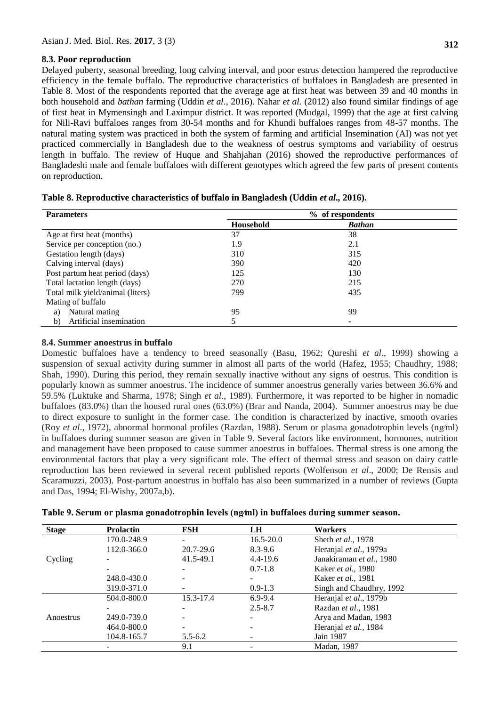# **8.3. Poor reproduction**

Delayed puberty, seasonal breeding, long calving interval, and poor estrus detection hampered the reproductive efficiency in the female buffalo. The reproductive characteristics of buffaloes in Bangladesh are presented in Table 8. Most of the respondents reported that the average age at first heat was between 39 and 40 months in both household and *bathan* farming (Uddin *et al*., 2016). Nahar *et al.* (2012) also found similar findings of age of first heat in Mymensingh and Laximpur district. It was reported (Mudgal, 1999) that the age at first calving for Nili-Ravi buffaloes ranges from 30-54 months and for Khundi buffaloes ranges from 48-57 months. The natural mating system was practiced in both the system of farming and artificial Insemination (AI) was not yet practiced commercially in Bangladesh due to the weakness of oestrus symptoms and variability of oestrus length in buffalo. The review of Huque and Shahjahan (2016) showed the reproductive performances of Bangladeshi male and female buffaloes with different genotypes which agreed the few parts of present contents on reproduction.

| <b>Parameters</b>                | % of respondents |               |  |
|----------------------------------|------------------|---------------|--|
|                                  | Household        | <b>Bathan</b> |  |
| Age at first heat (months)       | 37               | 38            |  |
| Service per conception (no.)     | 1.9              | 2.1           |  |
| Gestation length (days)          | 310              | 315           |  |
| Calving interval (days)          | 390              | 420           |  |
| Post partum heat period (days)   | 125              | 130           |  |
| Total lactation length (days)    | 270              | 215           |  |
| Total milk yield/animal (liters) | 799              | 435           |  |
| Mating of buffalo                |                  |               |  |
| Natural mating<br>a)             | 95               | 99            |  |
| Artificial insemination<br>b)    |                  | ۰             |  |

|  | Table 8. Reproductive characteristics of buffalo in Bangladesh (Uddin et al., 2016). |  |  |  |
|--|--------------------------------------------------------------------------------------|--|--|--|
|  |                                                                                      |  |  |  |

# **8.4. Summer anoestrus in buffalo**

Domestic buffaloes have a tendency to breed seasonally (Basu, 1962; Qureshi *et al*., 1999) showing a suspension of sexual activity during summer in almost all parts of the world (Hafez, 1955; Chaudhry, 1988; Shah, 1990). During this period, they remain sexually inactive without any signs of oestrus. This condition is popularly known as summer anoestrus. The incidence of summer anoestrus generally varies between 36.6% and 59.5% (Luktuke and Sharma, 1978; Singh *et al*., 1989). Furthermore, it was reported to be higher in nomadic buffaloes (83.0%) than the housed rural ones (63.0%) (Brar and Nanda, 2004). Summer anoestrus may be due to direct exposure to sunlight in the former case. The condition is characterized by inactive, smooth ovaries (Roy *et al*., 1972), abnormal hormonal profiles (Razdan, 1988). Serum or plasma gonadotrophin levels (ng⁄ml) in buffaloes during summer season are given in Table 9. Several factors like environment, hormones, nutrition and management have been proposed to cause summer anoestrus in buffaloes. Thermal stress is one among the environmental factors that play a very significant role. The effect of thermal stress and season on dairy cattle reproduction has been reviewed in several recent published reports (Wolfenson *et al*., 2000; De Rensis and Scaramuzzi, 2003). Post-partum anoestrus in buffalo has also been summarized in a number of reviews (Gupta and Das, 1994; El-Wishy, 2007a,b).

|  |  |  |  |  |  | Table 9. Serum or plasma gonadotrophin levels (ng/ml) in buffaloes during summer season. |  |
|--|--|--|--|--|--|------------------------------------------------------------------------------------------|--|
|--|--|--|--|--|--|------------------------------------------------------------------------------------------|--|

| <b>Stage</b> | <b>Prolactin</b> | <b>FSH</b>  | <b>LH</b>     | <b>Workers</b>             |
|--------------|------------------|-------------|---------------|----------------------------|
|              | 170.0-248.9      |             | $16.5 - 20.0$ | Sheth et al., 1978         |
|              | 112.0-366.0      | 20.7-29.6   | $8.3 - 9.6$   | Heranjal et al., 1979a     |
| Cycling      |                  | 41.5-49.1   | $4.4 - 19.6$  | Janakiraman et al., 1980   |
|              |                  |             | $0.7 - 1.8$   | Kaker et al., 1980         |
|              | 248.0-430.0      |             |               | Kaker <i>et al.</i> , 1981 |
|              | 319.0-371.0      |             | $0.9 - 1.3$   | Singh and Chaudhry, 1992   |
|              | 504.0-800.0      | 15.3-17.4   | $6.9 - 9.4$   | Heranjal et al., 1979b     |
|              |                  |             | $2.5 - 8.7$   | Razdan et al., 1981        |
| Anoestrus    | 249.0-739.0      |             |               | Arya and Madan, 1983       |
|              | 464.0-800.0      |             |               | Heranjal et al., 1984      |
|              | 104.8-165.7      | $5.5 - 6.2$ |               | Jain 1987                  |
|              |                  | 9.1         |               | Madan, 1987                |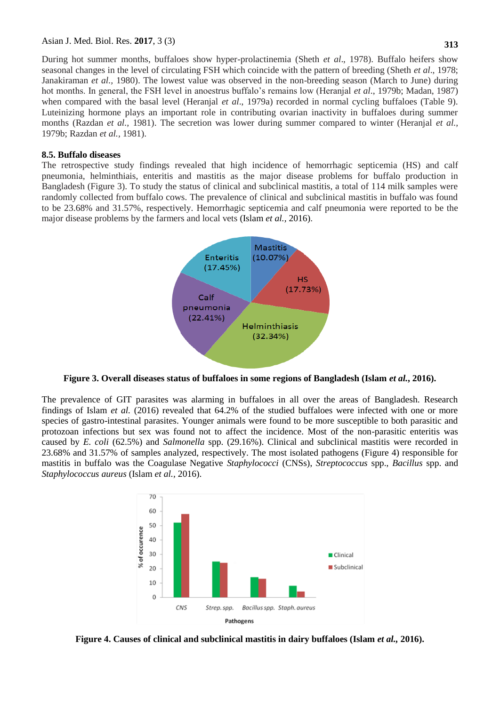During hot summer months, buffaloes show hyper-prolactinemia (Sheth *et al*., 1978). Buffalo heifers show seasonal changes in the level of circulating FSH which coincide with the pattern of breeding (Sheth *et al*., 1978; Janakiraman *et al.,* 1980). The lowest value was observed in the non-breeding season (March to June) during hot months. In general, the FSH level in anoestrus buffalo"s remains low (Heranjal *et al*., 1979b; Madan, 1987) when compared with the basal level (Heranjal *et al.*, 1979a) recorded in normal cycling buffaloes (Table 9). Luteinizing hormone plays an important role in contributing ovarian inactivity in buffaloes during summer months (Razdan *et al.,* 1981). The secretion was lower during summer compared to winter (Heranjal *et al.,* 1979b; Razdan *et al.,* 1981).

#### **8.5. Buffalo diseases**

The retrospective study findings revealed that high incidence of hemorrhagic septicemia (HS) and calf pneumonia, helminthiais, enteritis and mastitis as the major disease problems for buffalo production in Bangladesh (Figure 3). To study the status of clinical and subclinical mastitis, a total of 114 milk samples were randomly collected from buffalo cows. The prevalence of clinical and subclinical mastitis in buffalo was found to be 23.68% and 31.57%, respectively. Hemorrhagic septicemia and calf pneumonia were reported to be the major disease problems by the farmers and local vets (Islam *et al.,* 2016).



**Figure 3. Overall diseases status of buffaloes in some regions of Bangladesh (Islam** *et al.***, 2016).**

The prevalence of GIT parasites was alarming in buffaloes in all over the areas of Bangladesh. Research findings of Islam *et al.* (2016) revealed that 64.2% of the studied buffaloes were infected with one or more species of gastro-intestinal parasites. Younger animals were found to be more susceptible to both parasitic and protozoan infections but sex was found not to affect the incidence. Most of the non-parasitic enteritis was caused by *E. coli* (62.5%) and *Salmonella* spp. (29.16%). Clinical and subclinical mastitis were recorded in 23.68% and 31.57% of samples analyzed, respectively. The most isolated pathogens (Figure 4) responsible for mastitis in buffalo was the Coagulase Negative *Staphylococci* (CNSs), *Streptococcus* spp., *Bacillus* spp. and *Staphylococcus aureus* (Islam *et al.,* 2016).



**Figure 4. Causes of clinical and subclinical mastitis in dairy buffaloes (Islam** *et al.,* **2016).**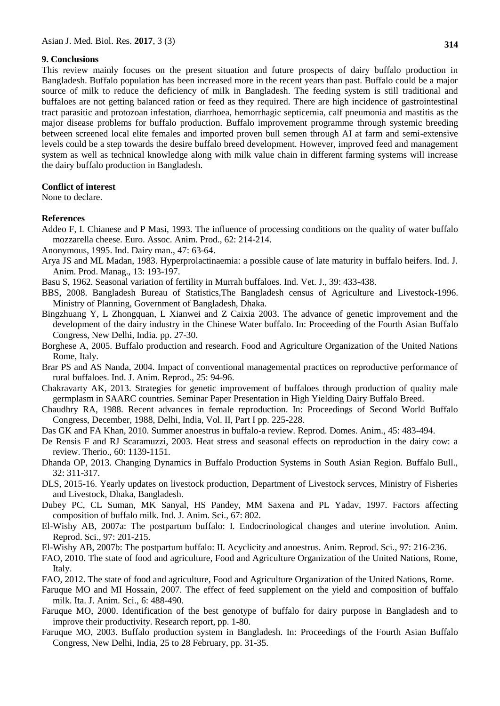#### **9. Conclusions**

This review mainly focuses on the present situation and future prospects of dairy buffalo production in Bangladesh. Buffalo population has been increased more in the recent years than past. Buffalo could be a major source of milk to reduce the deficiency of milk in Bangladesh. The feeding system is still traditional and buffaloes are not getting balanced ration or feed as they required. There are high incidence of gastrointestinal tract parasitic and protozoan infestation, diarrhoea, hemorrhagic septicemia, calf pneumonia and mastitis as the major disease problems for buffalo production. Buffalo improvement programme through systemic breeding between screened local elite females and imported proven bull semen through AI at farm and semi-extensive levels could be a step towards the desire buffalo breed development. However, improved feed and management system as well as technical knowledge along with milk value chain in different farming systems will increase the dairy buffalo production in Bangladesh.

### **Conflict of interest**

None to declare.

#### **References**

- Addeo F, L Chianese and P Masi, 1993. The influence of processing conditions on the quality of water buffalo mozzarella cheese. Euro. Assoc. Anim. Prod., 62: 214-214.
- Anonymous, 1995. Ind. Dairy man., 47: 63-64.
- Arya JS and ML Madan, 1983. Hyperprolactinaemia: a possible cause of late maturity in buffalo heifers. Ind. J. Anim. Prod. Manag., 13: 193-197.
- Basu S, 1962. Seasonal variation of fertility in Murrah buffaloes. Ind. Vet. J., 39: 433-438.
- BBS, 2008. Bangladesh Bureau of Statistics,The Bangladesh census of Agriculture and Livestock-1996. Ministry of Planning, Government of Bangladesh, Dhaka.
- Bingzhuang Y, L Zhongquan, L Xianwei and Z Caixia 2003. The advance of genetic improvement and the development of the dairy industry in the Chinese Water buffalo. In: Proceeding of the Fourth Asian Buffalo Congress, New Delhi, India. pp. 27-30.
- Borghese A, 2005. Buffalo production and research. Food and Agriculture Organization of the United Nations Rome, Italy.
- Brar PS and AS Nanda, 2004. Impact of conventional managemental practices on reproductive performance of rural buffaloes. Ind. J. Anim. Reprod., 25: 94-96.
- Chakravarty AK, 2013. Strategies for genetic improvement of buffaloes through production of quality male germplasm in SAARC countries. Seminar Paper Presentation in High Yielding Dairy Buffalo Breed.
- Chaudhry RA, 1988. Recent advances in female reproduction. In: Proceedings of Second World Buffalo Congress, December, 1988, Delhi, India, Vol. II, Part I pp. 225-228.
- Das GK and FA Khan, 2010. Summer anoestrus in buffalo-a review. Reprod. Domes. Anim., 45: 483-494.
- De Rensis F and RJ Scaramuzzi, 2003. Heat stress and seasonal effects on reproduction in the dairy cow: a review. Therio., 60: 1139-1151.
- Dhanda OP, 2013. Changing Dynamics in Buffalo Production Systems in South Asian Region. Buffalo Bull., 32: 311-317.
- DLS, 2015-16. Yearly updates on livestock production, Department of Livestock servces, Ministry of Fisheries and Livestock, Dhaka, Bangladesh.
- Dubey PC, CL Suman, MK Sanyal, HS Pandey, MM Saxena and PL Yadav, 1997. Factors affecting composition of buffalo milk. Ind. J. Anim. Sci., 67: 802.
- El-Wishy AB, 2007a: The postpartum buffalo: I. Endocrinological changes and uterine involution. Anim. Reprod. Sci., 97: 201-215.
- El-Wishy AB, 2007b: The postpartum buffalo: II. Acyclicity and anoestrus. Anim. Reprod. Sci., 97: 216-236.
- FAO, 2010. The state of food and agriculture, Food and Agriculture Organization of the United Nations, Rome, Italy.
- FAO, 2012. The state of food and agriculture, Food and Agriculture Organization of the United Nations, Rome.
- Faruque MO and MI Hossain, 2007. The effect of feed supplement on the yield and composition of buffalo milk. Ita. J. Anim. Sci., 6: 488-490.
- Faruque MO, 2000. Identification of the best genotype of buffalo for dairy purpose in Bangladesh and to improve their productivity. Research report, pp. 1-80.
- Faruque MO, 2003. Buffalo production system in Bangladesh. In: Proceedings of the Fourth Asian Buffalo Congress, New Delhi, India, 25 to 28 February, pp. 31-35.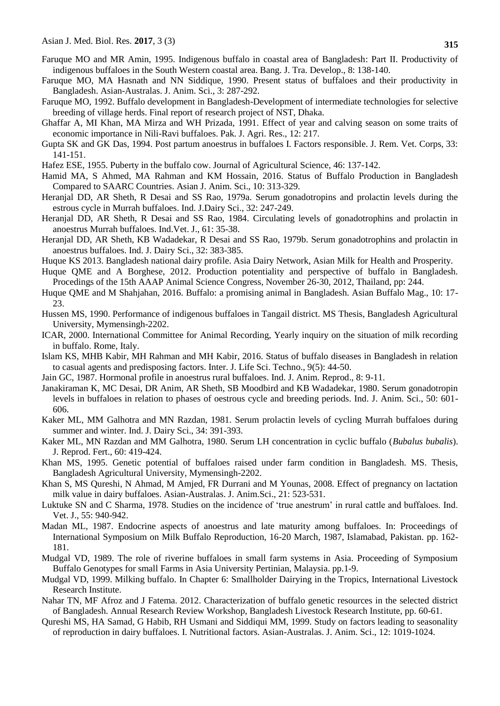- Faruque MO and MR Amin, 1995. Indigenous buffalo in coastal area of Bangladesh: Part II. Productivity of indigenous buffaloes in the South Western coastal area. Bang. J. Tra. Develop., 8: 138-140.
- Faruque MO, MA Hasnath and NN Siddique, 1990. Present status of buffaloes and their productivity in Bangladesh. Asian-Australas. J. Anim. Sci., 3: 287-292.
- Faruque MO, 1992. Buffalo development in Bangladesh-Development of intermediate technologies for selective breeding of village herds. Final report of research project of NST, Dhaka.
- Ghaffar A, MI Khan, MA Mirza and WH Prizada, 1991. Effect of year and calving season on some traits of economic importance in Nili-Ravi buffaloes. Pak. J. Agri. Res., 12: 217.
- Gupta SK and GK Das, 1994. Post partum anoestrus in buffaloes I. Factors responsible. J. Rem. Vet. Corps, 33: 141-151.
- Hafez ESE, 1955. Puberty in the buffalo cow. Journal of Agricultural Science, 46: 137-142.
- Hamid MA, S Ahmed, MA Rahman and KM Hossain, 2016. Status of Buffalo Production in Bangladesh Compared to SAARC Countries. Asian J. Anim. Sci., 10: 313-329.
- Heranjal DD, AR Sheth, R Desai and SS Rao, 1979a. Serum gonadotropins and prolactin levels during the estrous cycle in Murrah buffaloes. Ind. J.Dairy Sci., 32: 247-249.
- Heranjal DD, AR Sheth, R Desai and SS Rao, 1984. Circulating levels of gonadotrophins and prolactin in anoestrus Murrah buffaloes. Ind.Vet. J., 61: 35-38.
- Heranjal DD, AR Sheth, KB Wadadekar, R Desai and SS Rao, 1979b. Serum gonadotrophins and prolactin in anoestrus buffaloes. Ind. J. Dairy Sci., 32: 383-385.
- Huque KS 2013. Bangladesh national dairy profile. Asia Dairy Network, Asian Milk for Health and Prosperity.
- Huque QME and A Borghese, 2012. Production potentiality and perspective of buffalo in Bangladesh. Procedings of the 15th AAAP Animal Science Congress, November 26-30, 2012, Thailand, pp: 244.
- Huque QME and M Shahjahan, 2016. Buffalo: a promising animal in Bangladesh. Asian Buffalo Mag., 10: 17- 23.
- Hussen MS, 1990. Performance of indigenous buffaloes in Tangail district. MS Thesis, Bangladesh Agricultural University, Mymensingh-2202.
- ICAR, 2000. International Committee for Animal Recording, Yearly inquiry on the situation of milk recording in buffalo. Rome, Italy.
- Islam KS, MHB Kabir, MH Rahman and MH Kabir, 2016. Status of buffalo diseases in Bangladesh in relation to casual agents and predisposing factors. Inter. J. Life Sci. Techno., 9(5): 44-50.
- Jain GC, 1987. Hormonal profile in anoestrus rural buffaloes. Ind. J. Anim. Reprod., 8: 9-11.
- Janakiraman K, MC Desai, DR Anim, AR Sheth, SB Moodbird and KB Wadadekar, 1980. Serum gonadotropin levels in buffaloes in relation to phases of oestrous cycle and breeding periods. Ind. J. Anim. Sci., 50: 601- 606.
- Kaker ML, MM Galhotra and MN Razdan, 1981. Serum prolactin levels of cycling Murrah buffaloes during summer and winter. Ind. J. Dairy Sci., 34: 391-393.
- Kaker ML, MN Razdan and MM Galhotra, 1980. Serum LH concentration in cyclic buffalo (*Bubalus bubalis*). J. Reprod. Fert., 60: 419-424.
- Khan MS, 1995. Genetic potential of buffaloes raised under farm condition in Bangladesh. MS. Thesis, Bangladesh Agricultural University, Mymensingh-2202.
- Khan S, MS Qureshi, N Ahmad, M Amjed, FR Durrani and M Younas, 2008. Effect of pregnancy on lactation milk value in dairy buffaloes. Asian-Australas. J. Anim.Sci., 21: 523-531.
- Luktuke SN and C Sharma, 1978. Studies on the incidence of "true anestrum" in rural cattle and buffaloes. Ind. Vet. J., 55: 940-942.
- Madan ML, 1987. Endocrine aspects of anoestrus and late maturity among buffaloes. In: Proceedings of International Symposium on Milk Buffalo Reproduction, 16-20 March, 1987, Islamabad, Pakistan. pp. 162- 181.
- Mudgal VD, 1989. The role of riverine buffaloes in small farm systems in Asia. Proceeding of Symposium Buffalo Genotypes for small Farms in Asia University Pertinian, Malaysia. pp.1-9.
- Mudgal VD, 1999. Milking buffalo. In Chapter 6: Smallholder Dairying in the Tropics, International Livestock Research Institute.
- Nahar TN, MF Afroz and J Fatema. 2012. Characterization of buffalo genetic resources in the selected district of Bangladesh. Annual Research Review Workshop, Bangladesh Livestock Research Institute, pp. 60-61.
- Qureshi MS, HA Samad, G Habib, RH Usmani and Siddiqui MM, 1999. Study on factors leading to seasonality of reproduction in dairy buffaloes. I. Nutritional factors. Asian-Australas. J. Anim. Sci., 12: 1019-1024.